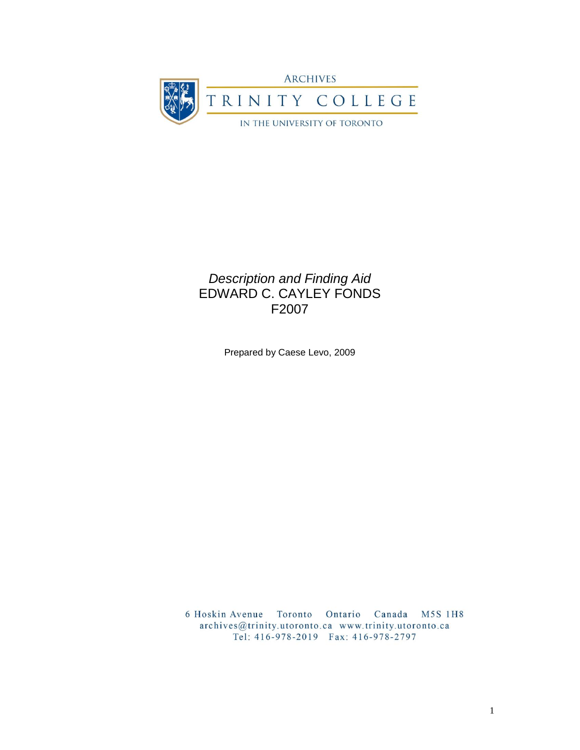

# *Description and Finding Aid* EDWARD C. CAYLEY FONDS F2007

Prepared by Caese Levo, 2009

6 Hoskin Avenue Toronto Ontario Canada M5S 1H8 archives@trinity.utoronto.ca www.trinity.utoronto.ca Tel: 416-978-2019 Fax: 416-978-2797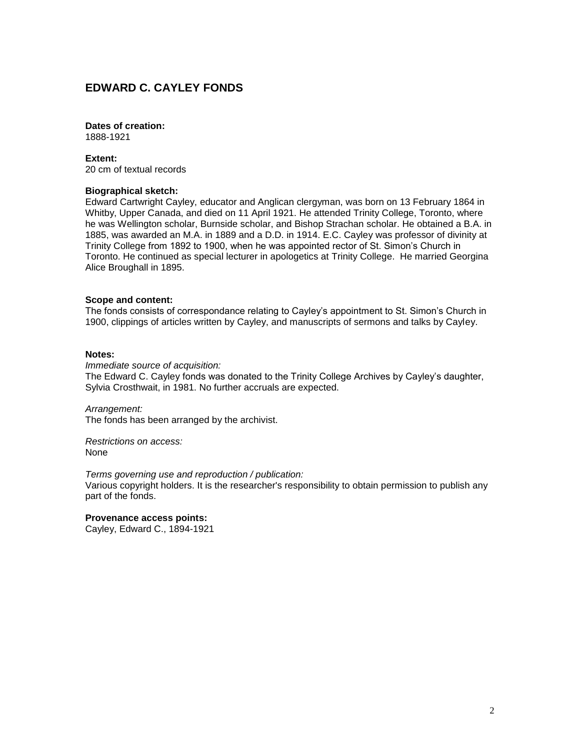## **EDWARD C. CAYLEY FONDS**

### **Dates of creation:**

1888-1921

#### **Extent:**

20 cm of textual records

#### **Biographical sketch:**

Edward Cartwright Cayley, educator and Anglican clergyman, was born on 13 February 1864 in Whitby, Upper Canada, and died on 11 April 1921. He attended Trinity College, Toronto, where he was Wellington scholar, Burnside scholar, and Bishop Strachan scholar. He obtained a B.A. in 1885, was awarded an M.A. in 1889 and a D.D. in 1914. E.C. Cayley was professor of divinity at Trinity College from 1892 to 1900, when he was appointed rector of St. Simon's Church in Toronto. He continued as special lecturer in apologetics at Trinity College. He married Georgina Alice Broughall in 1895.

#### **Scope and content:**

The fonds consists of correspondance relating to Cayley's appointment to St. Simon's Church in 1900, clippings of articles written by Cayley, and manuscripts of sermons and talks by Cayley.

#### **Notes:**

*Immediate source of acquisition:* The Edward C. Cayley fonds was donated to the Trinity College Archives by Cayley's daughter, Sylvia Crosthwait, in 1981. No further accruals are expected.

*Arrangement:* The fonds has been arranged by the archivist.

*Restrictions on access:* None

*Terms governing use and reproduction / publication:*

Various copyright holders. It is the researcher's responsibility to obtain permission to publish any part of the fonds.

**Provenance access points:** Cayley, Edward C., 1894-1921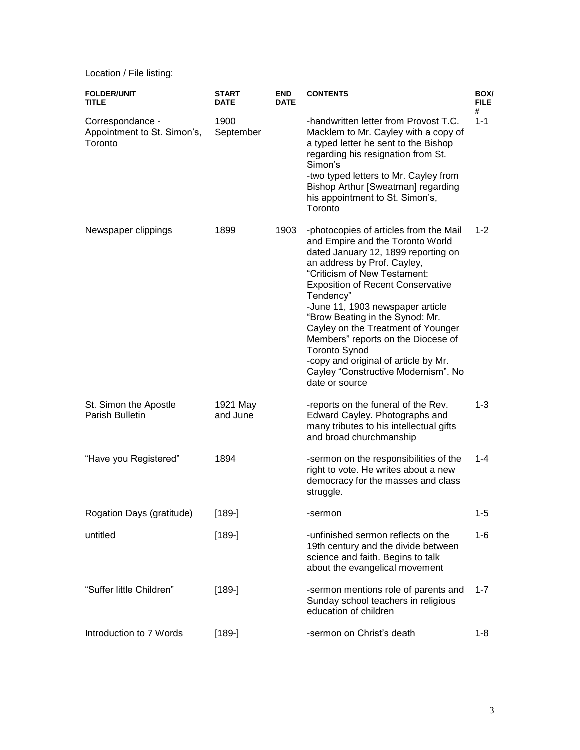Location / File listing:

| <b>FOLDER/UNIT</b><br><b>TITLE</b>                         | <b>START</b><br>DATE | <b>END</b><br><b>DATE</b> | <b>CONTENTS</b>                                                                                                                                                                                                                                                                                                                                                                                                                                                                                                       | BOX/<br><b>FILE</b><br># |
|------------------------------------------------------------|----------------------|---------------------------|-----------------------------------------------------------------------------------------------------------------------------------------------------------------------------------------------------------------------------------------------------------------------------------------------------------------------------------------------------------------------------------------------------------------------------------------------------------------------------------------------------------------------|--------------------------|
| Correspondance -<br>Appointment to St. Simon's,<br>Toronto | 1900<br>September    |                           | -handwritten letter from Provost T.C.<br>Macklem to Mr. Cayley with a copy of<br>a typed letter he sent to the Bishop<br>regarding his resignation from St.<br>Simon's<br>-two typed letters to Mr. Cayley from                                                                                                                                                                                                                                                                                                       | $1 - 1$                  |
|                                                            |                      |                           | Bishop Arthur [Sweatman] regarding<br>his appointment to St. Simon's,<br>Toronto                                                                                                                                                                                                                                                                                                                                                                                                                                      |                          |
| Newspaper clippings                                        | 1899                 | 1903                      | -photocopies of articles from the Mail<br>and Empire and the Toronto World<br>dated January 12, 1899 reporting on<br>an address by Prof. Cayley,<br>"Criticism of New Testament:<br><b>Exposition of Recent Conservative</b><br>Tendency"<br>-June 11, 1903 newspaper article<br>"Brow Beating in the Synod: Mr.<br>Cayley on the Treatment of Younger<br>Members" reports on the Diocese of<br><b>Toronto Synod</b><br>-copy and original of article by Mr.<br>Cayley "Constructive Modernism". No<br>date or source | $1 - 2$                  |
| St. Simon the Apostle<br>Parish Bulletin                   | 1921 May<br>and June |                           | -reports on the funeral of the Rev.<br>Edward Cayley. Photographs and<br>many tributes to his intellectual gifts<br>and broad churchmanship                                                                                                                                                                                                                                                                                                                                                                           | $1 - 3$                  |
| "Have you Registered"                                      | 1894                 |                           | -sermon on the responsibilities of the<br>right to vote. He writes about a new<br>democracy for the masses and class<br>struggle.                                                                                                                                                                                                                                                                                                                                                                                     | 1-4                      |
| Rogation Days (gratitude)                                  | $[189-]$             |                           | -sermon                                                                                                                                                                                                                                                                                                                                                                                                                                                                                                               | $1 - 5$                  |
| untitled                                                   | $[189-]$             |                           | -unfinished sermon reflects on the<br>19th century and the divide between<br>science and faith. Begins to talk<br>about the evangelical movement                                                                                                                                                                                                                                                                                                                                                                      | 1-6                      |
| "Suffer little Children"                                   | $[189-]$             |                           | -sermon mentions role of parents and<br>Sunday school teachers in religious<br>education of children                                                                                                                                                                                                                                                                                                                                                                                                                  | $1 - 7$                  |
| Introduction to 7 Words                                    | $[189-]$             |                           | -sermon on Christ's death                                                                                                                                                                                                                                                                                                                                                                                                                                                                                             | 1-8                      |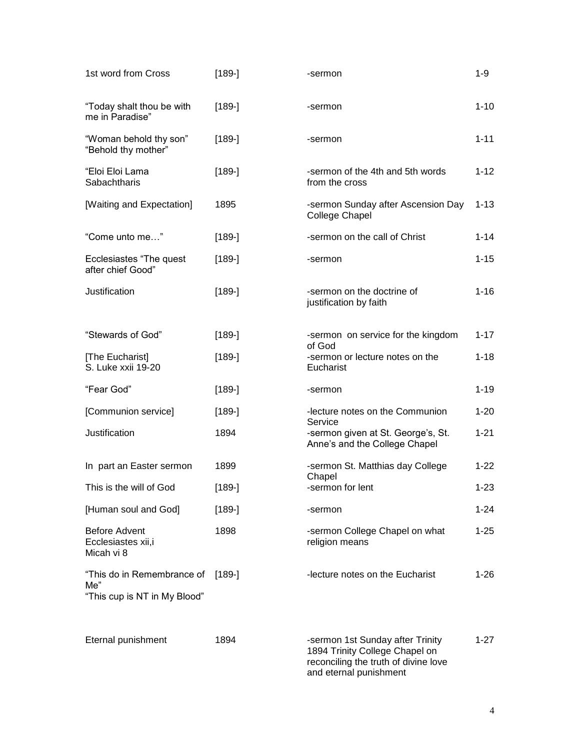| 1st word from Cross                                               | $[189-]$ | -sermon                                                                                                                              | $1 - 9$  |
|-------------------------------------------------------------------|----------|--------------------------------------------------------------------------------------------------------------------------------------|----------|
| "Today shalt thou be with<br>me in Paradise"                      | $[189-]$ | -sermon                                                                                                                              | $1 - 10$ |
| "Woman behold thy son"<br>"Behold thy mother"                     | $[189-]$ | -sermon                                                                                                                              | $1 - 11$ |
| "Eloi Eloi Lama<br>Sabachtharis                                   | $[189-]$ | -sermon of the 4th and 5th words<br>from the cross                                                                                   | $1 - 12$ |
| [Waiting and Expectation]                                         | 1895     | -sermon Sunday after Ascension Day<br>College Chapel                                                                                 | $1 - 13$ |
| "Come unto me"                                                    | $[189-]$ | -sermon on the call of Christ                                                                                                        | $1 - 14$ |
| Ecclesiastes "The quest"<br>after chief Good"                     | $[189-]$ | -sermon                                                                                                                              | $1 - 15$ |
| Justification                                                     | $[189-]$ | -sermon on the doctrine of<br>justification by faith                                                                                 | $1 - 16$ |
| "Stewards of God"                                                 | $[189-]$ | -sermon on service for the kingdom                                                                                                   | $1 - 17$ |
| [The Eucharist]<br>S. Luke xxii 19-20                             | $[189-]$ | of God<br>-sermon or lecture notes on the<br>Eucharist                                                                               | $1 - 18$ |
| "Fear God"                                                        | $[189-]$ | -sermon                                                                                                                              | $1 - 19$ |
| [Communion service]                                               | $[189-]$ | -lecture notes on the Communion                                                                                                      | $1 - 20$ |
| Justification                                                     | 1894     | Service<br>-sermon given at St. George's, St.<br>Anne's and the College Chapel                                                       | $1 - 21$ |
| In part an Easter sermon                                          | 1899     | -sermon St. Matthias day College                                                                                                     | $1 - 22$ |
| This is the will of God                                           | $[189-]$ | Chapel<br>-sermon for lent                                                                                                           | $1 - 23$ |
| [Human soul and God]                                              | $[189-]$ | -sermon                                                                                                                              | $1 - 24$ |
| <b>Before Advent</b><br>Ecclesiastes xii,i<br>Micah vi 8          | 1898     | -sermon College Chapel on what<br>religion means                                                                                     | $1 - 25$ |
| "This do in Remembrance of<br>Me"<br>"This cup is NT in My Blood" | $[189-]$ | -lecture notes on the Eucharist                                                                                                      | $1 - 26$ |
| Eternal punishment                                                | 1894     | -sermon 1st Sunday after Trinity<br>1894 Trinity College Chapel on<br>reconciling the truth of divine love<br>and eternal punishment | $1 - 27$ |